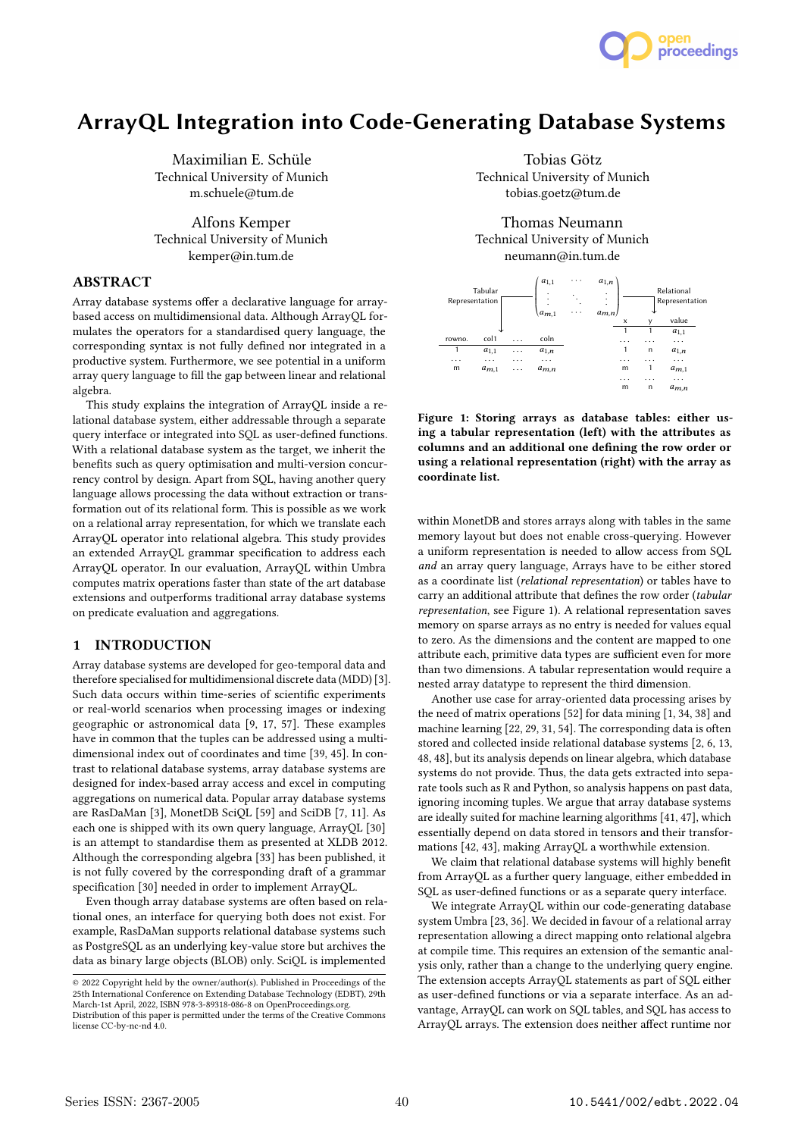

# ArrayQL Integration into Code-Generating Database Systems

Maximilian E. Schüle Technical University of Munich m.schuele@tum.de

Alfons Kemper Technical University of Munich kemper@in.tum.de

# ABSTRACT

Array database systems offer a declarative language for arraybased access on multidimensional data. Although ArrayQL formulates the operators for a standardised query language, the corresponding syntax is not fully defined nor integrated in a productive system. Furthermore, we see potential in a uniform array query language to fill the gap between linear and relational algebra.

This study explains the integration of ArrayQL inside a relational database system, either addressable through a separate query interface or integrated into SQL as user-defined functions. With a relational database system as the target, we inherit the benefits such as query optimisation and multi-version concurrency control by design. Apart from SQL, having another query language allows processing the data without extraction or transformation out of its relational form. This is possible as we work on a relational array representation, for which we translate each ArrayQL operator into relational algebra. This study provides an extended ArrayQL grammar specification to address each ArrayQL operator. In our evaluation, ArrayQL within Umbra computes matrix operations faster than state of the art database extensions and outperforms traditional array database systems on predicate evaluation and aggregations.

# 1 INTRODUCTION

Array database systems are developed for geo-temporal data and therefore specialised for multidimensional discrete data (MDD) [3]. Such data occurs within time-series of scientific experiments or real-world scenarios when processing images or indexing geographic or astronomical data [9, 17, 57]. These examples have in common that the tuples can be addressed using a multidimensional index out of coordinates and time [39, 45]. In contrast to relational database systems, array database systems are designed for index-based array access and excel in computing aggregations on numerical data. Popular array database systems are RasDaMan [3], MonetDB SciQL [59] and SciDB [7, 11]. As each one is shipped with its own query language, ArrayQL [30] is an attempt to standardise them as presented at XLDB 2012. Although the corresponding algebra [33] has been published, it is not fully covered by the corresponding draft of a grammar specification [30] needed in order to implement ArrayQL.

Even though array database systems are often based on relational ones, an interface for querying both does not exist. For example, RasDaMan supports relational database systems such as PostgreSQL as an underlying key-value store but archives the data as binary large objects (BLOB) only. SciQL is implemented

Tobias Götz Technical University of Munich tobias.goetz@tum.de

Thomas Neumann Technical University of Munich neumann@in.tum.de



Figure 1: Storing arrays as database tables: either using a tabular representation (left) with the attributes as columns and an additional one defining the row order or using a relational representation (right) with the array as coordinate list.

within MonetDB and stores arrays along with tables in the same memory layout but does not enable cross-querying. However a uniform representation is needed to allow access from SQL and an array query language, Arrays have to be either stored as a coordinate list (relational representation) or tables have to carry an additional attribute that defines the row order (tabular representation, see Figure 1). A relational representation saves memory on sparse arrays as no entry is needed for values equal to zero. As the dimensions and the content are mapped to one attribute each, primitive data types are sufficient even for more than two dimensions. A tabular representation would require a nested array datatype to represent the third dimension.

Another use case for array-oriented data processing arises by the need of matrix operations [52] for data mining [1, 34, 38] and machine learning [22, 29, 31, 54]. The corresponding data is often stored and collected inside relational database systems [2, 6, 13, 48, 48], but its analysis depends on linear algebra, which database systems do not provide. Thus, the data gets extracted into separate tools such as R and Python, so analysis happens on past data, ignoring incoming tuples. We argue that array database systems are ideally suited for machine learning algorithms [41, 47], which essentially depend on data stored in tensors and their transformations [42, 43], making ArrayQL a worthwhile extension.

We claim that relational database systems will highly benefit from ArrayQL as a further query language, either embedded in SQL as user-defined functions or as a separate query interface.

We integrate ArrayQL within our code-generating database system Umbra [23, 36]. We decided in favour of a relational array representation allowing a direct mapping onto relational algebra at compile time. This requires an extension of the semantic analysis only, rather than a change to the underlying query engine. The extension accepts ArrayQL statements as part of SQL either as user-defined functions or via a separate interface. As an advantage, ArrayQL can work on SQL tables, and SQL has access to ArrayQL arrays. The extension does neither affect runtime nor

<sup>©</sup> 2022 Copyright held by the owner/author(s). Published in Proceedings of the 25th International Conference on Extending Database Technology (EDBT), 29th March-1st April, 2022, ISBN 978-3-89318-086-8 on OpenProceedings.org. Distribution of this paper is permitted under the terms of the Creative Commons

license CC-by-nc-nd 4.0.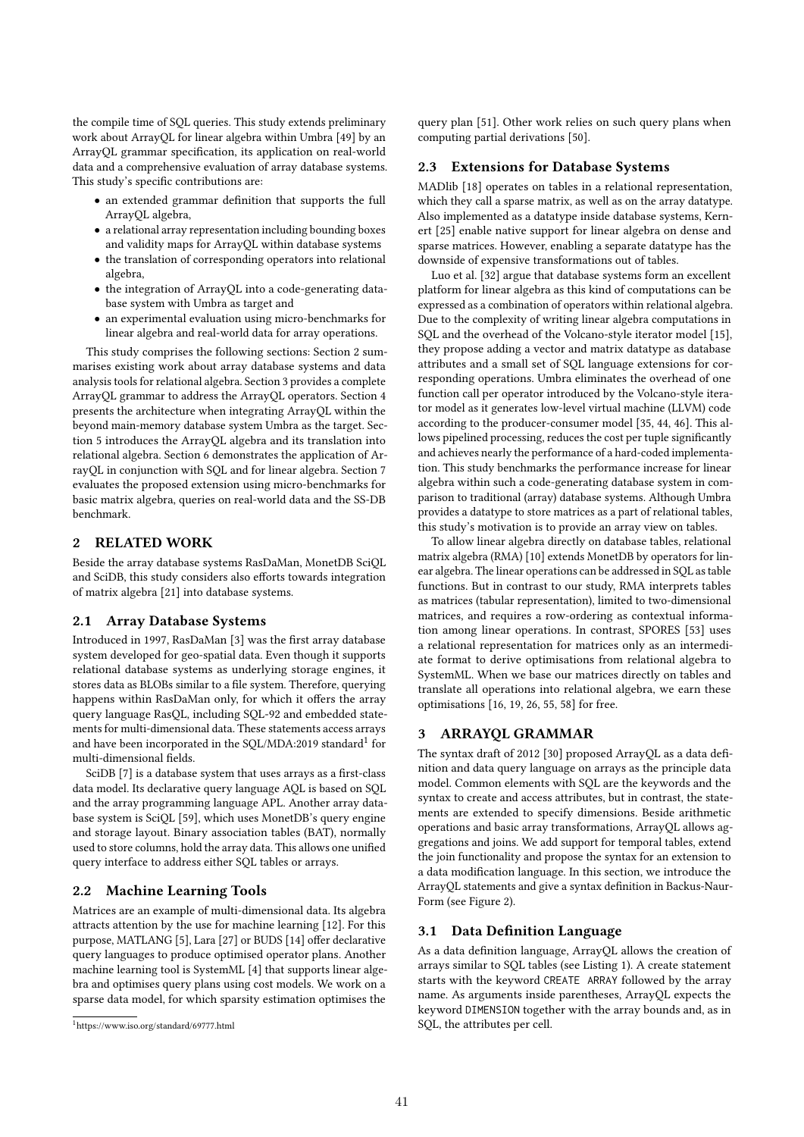the compile time of SQL queries. This study extends preliminary work about ArrayQL for linear algebra within Umbra [49] by an ArrayQL grammar specification, its application on real-world data and a comprehensive evaluation of array database systems. This study's specific contributions are:

- an extended grammar definition that supports the full ArrayQL algebra,
- a relational array representation including bounding boxes and validity maps for ArrayQL within database systems
- the translation of corresponding operators into relational algebra,
- the integration of ArrayQL into a code-generating database system with Umbra as target and
- an experimental evaluation using micro-benchmarks for linear algebra and real-world data for array operations.

This study comprises the following sections: Section 2 summarises existing work about array database systems and data analysis tools for relational algebra. Section 3 provides a complete ArrayQL grammar to address the ArrayQL operators. Section 4 presents the architecture when integrating ArrayQL within the beyond main-memory database system Umbra as the target. Section 5 introduces the ArrayQL algebra and its translation into relational algebra. Section 6 demonstrates the application of ArrayQL in conjunction with SQL and for linear algebra. Section 7 evaluates the proposed extension using micro-benchmarks for basic matrix algebra, queries on real-world data and the SS-DB benchmark.

# 2 RELATED WORK

Beside the array database systems RasDaMan, MonetDB SciQL and SciDB, this study considers also efforts towards integration of matrix algebra [21] into database systems.

# 2.1 Array Database Systems

Introduced in 1997, RasDaMan [3] was the first array database system developed for geo-spatial data. Even though it supports relational database systems as underlying storage engines, it stores data as BLOBs similar to a file system. Therefore, querying happens within RasDaMan only, for which it offers the array query language RasQL, including SQL-92 and embedded statements for multi-dimensional data. These statements access arrays and have been incorporated in the SQL/MDA:2019 standard<sup>1</sup> for multi-dimensional fields.

SciDB [7] is a database system that uses arrays as a first-class data model. Its declarative query language AQL is based on SQL and the array programming language APL. Another array database system is SciQL [59], which uses MonetDB's query engine and storage layout. Binary association tables (BAT), normally used to store columns, hold the array data. This allows one unified query interface to address either SQL tables or arrays.

# 2.2 Machine Learning Tools

Matrices are an example of multi-dimensional data. Its algebra attracts attention by the use for machine learning [12]. For this purpose, MATLANG [5], Lara [27] or BUDS [14] offer declarative query languages to produce optimised operator plans. Another machine learning tool is SystemML [4] that supports linear algebra and optimises query plans using cost models. We work on a sparse data model, for which sparsity estimation optimises the

query plan [51]. Other work relies on such query plans when computing partial derivations [50].

# 2.3 Extensions for Database Systems

MADlib [18] operates on tables in a relational representation, which they call a sparse matrix, as well as on the array datatype. Also implemented as a datatype inside database systems, Kernert [25] enable native support for linear algebra on dense and sparse matrices. However, enabling a separate datatype has the downside of expensive transformations out of tables.

Luo et al. [32] argue that database systems form an excellent platform for linear algebra as this kind of computations can be expressed as a combination of operators within relational algebra. Due to the complexity of writing linear algebra computations in SQL and the overhead of the Volcano-style iterator model [15], they propose adding a vector and matrix datatype as database attributes and a small set of SQL language extensions for corresponding operations. Umbra eliminates the overhead of one function call per operator introduced by the Volcano-style iterator model as it generates low-level virtual machine (LLVM) code according to the producer-consumer model [35, 44, 46]. This allows pipelined processing, reduces the cost per tuple significantly and achieves nearly the performance of a hard-coded implementation. This study benchmarks the performance increase for linear algebra within such a code-generating database system in comparison to traditional (array) database systems. Although Umbra provides a datatype to store matrices as a part of relational tables, this study's motivation is to provide an array view on tables.

To allow linear algebra directly on database tables, relational matrix algebra (RMA) [10] extends MonetDB by operators for linear algebra. The linear operations can be addressed in SQL as table functions. But in contrast to our study, RMA interprets tables as matrices (tabular representation), limited to two-dimensional matrices, and requires a row-ordering as contextual information among linear operations. In contrast, SPORES [53] uses a relational representation for matrices only as an intermediate format to derive optimisations from relational algebra to SystemML. When we base our matrices directly on tables and translate all operations into relational algebra, we earn these optimisations [16, 19, 26, 55, 58] for free.

# 3 ARRAYQL GRAMMAR

The syntax draft of 2012 [30] proposed ArrayQL as a data definition and data query language on arrays as the principle data model. Common elements with SQL are the keywords and the syntax to create and access attributes, but in contrast, the statements are extended to specify dimensions. Beside arithmetic operations and basic array transformations, ArrayQL allows aggregations and joins. We add support for temporal tables, extend the join functionality and propose the syntax for an extension to a data modification language. In this section, we introduce the ArrayQL statements and give a syntax definition in Backus-Naur-Form (see Figure 2).

# 3.1 Data Definition Language

As a data definition language, ArrayQL allows the creation of arrays similar to SQL tables (see Listing 1). A create statement starts with the keyword CREATE ARRAY followed by the array name. As arguments inside parentheses, ArrayQL expects the keyword DIMENSION together with the array bounds and, as in SQL, the attributes per cell.

<sup>1</sup>https://www.iso.org/standard/69777.html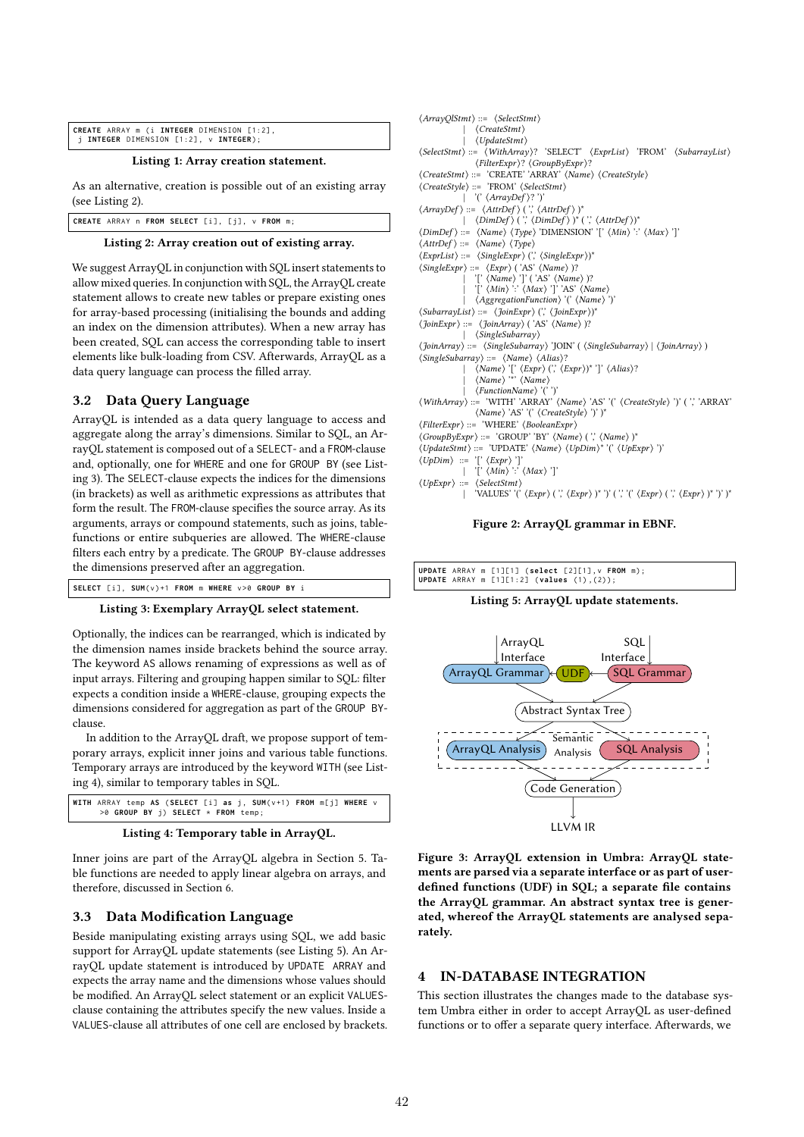| CREATE ARRAY m (i INTEGER DIMENSION [1:2],                   |  |
|--------------------------------------------------------------|--|
| $j$ <b>INTEGER</b> DIMENSION $[1:2]$ , $v$ <b>INTEGER</b> ); |  |

Listing 1: Array creation statement.

As an alternative, creation is possible out of an existing array (see Listing 2).

**CREATE** ARRAY n **FROM SELECT** [i], [i], v **FROM** m;

## Listing 2: Array creation out of existing array.

We suggest ArrayQL in conjunction with SQL insert statements to allow mixed queries. In conjunction with SQL, the ArrayQL create statement allows to create new tables or prepare existing ones for array-based processing (initialising the bounds and adding an index on the dimension attributes). When a new array has been created, SQL can access the corresponding table to insert elements like bulk-loading from CSV. Afterwards, ArrayQL as a data query language can process the filled array.

# 3.2 Data Query Language

ArrayQL is intended as a data query language to access and aggregate along the array's dimensions. Similar to SQL, an ArrayQL statement is composed out of a SELECT- and a FROM-clause and, optionally, one for WHERE and one for GROUP BY (see Listing 3). The SELECT-clause expects the indices for the dimensions (in brackets) as well as arithmetic expressions as attributes that form the result. The FROM-clause specifies the source array. As its arguments, arrays or compound statements, such as joins, tablefunctions or entire subqueries are allowed. The WHERE-clause filters each entry by a predicate. The GROUP BY-clause addresses the dimensions preserved after an aggregation.

```
SELECT [ i ] , SUM( v ) +1 FROM m WHERE v >0 GROUP BY i
```
#### Listing 3: Exemplary ArrayQL select statement.

Optionally, the indices can be rearranged, which is indicated by the dimension names inside brackets behind the source array. The keyword AS allows renaming of expressions as well as of input arrays. Filtering and grouping happen similar to SQL: filter expects a condition inside a WHERE-clause, grouping expects the dimensions considered for aggregation as part of the GROUP BYclause.

In addition to the ArrayQL draft, we propose support of temporary arrays, explicit inner joins and various table functions. Temporary arrays are introduced by the keyword WITH (see Listing 4), similar to temporary tables in SQL.





Inner joins are part of the ArrayQL algebra in Section 5. Table functions are needed to apply linear algebra on arrays, and therefore, discussed in Section 6.

### 3.3 Data Modification Language

Beside manipulating existing arrays using SQL, we add basic support for ArrayQL update statements (see Listing 5). An ArrayQL update statement is introduced by UPDATE ARRAY and expects the array name and the dimensions whose values should be modified. An ArrayQL select statement or an explicit VALUESclause containing the attributes specify the new values. Inside a VALUES-clause all attributes of one cell are enclosed by brackets.

| $\langle ArrayQISmith \rangle ::= \langle SelectStmt \rangle$                                                                                             |
|-----------------------------------------------------------------------------------------------------------------------------------------------------------|
| $\langle CreateStmt\rangle$                                                                                                                               |
| $\langle UpdateStmt \rangle$                                                                                                                              |
| $\langle SelectStrnt \rangle ::= \langle WithArray \rangle?$ 'SELECT' $\langle ExplList \rangle$ 'FROM' $\langle SubarrayList \rangle$                    |
| $\langle FilterExpr \rangle? \langle GroupByExpr \rangle?$                                                                                                |
| $\langle CreateSmt \rangle ::= 'CREATE' 'ARRAY' \langle Name \rangle \langle CreateStyle \rangle$                                                         |
| $\langle CreateStyle \rangle ::= 'FROM' \langle SelectStrat \rangle$                                                                                      |
| '(' $\langle ArrayDef \rangle$ '')'                                                                                                                       |
| $\langle ArrayDef \rangle ::= \langle AfterDef \rangle$ ('', $\langle AfterDef \rangle$ )*                                                                |
| $\langle DimDef \rangle$ ('', $\langle DimDef \rangle$ '', $\langle$ Attr $Def \rangle$ ''                                                                |
| $\langle DimDef \rangle ::= \langle Name \rangle \langle Type \rangle \langle DIMENSION' \rangle \langle Min \rangle \langle \langle Max \rangle \rangle$ |
| $\langle$ AttrDef $\rangle ::= \langle$ Name $\rangle \langle Type \rangle$                                                                               |
| $\langle Expertist\rangle ::= \langle SingleExpr\rangle (\rangle \langle SingleExpr\rangle)^*$                                                            |
| $\langle SingleExpr \rangle ::= \langle Expr \rangle$ ('AS' $\langle Name \rangle$ '?                                                                     |
| '[' $\langle Name \rangle$ ']' ('AS' $\langle Name \rangle$ )?                                                                                            |
| $\langle Min \rangle$ : $\langle Max \rangle$ ']' 'AS' $\langle Name \rangle$                                                                             |
| <i>(AggregationFunction)</i> '(' <i>(Name)</i> ')'                                                                                                        |
| $\langle SubarrayList \rangle ::= \langle \{JoinExpr \rangle \; (\rangle \; \langle \{JoinExpr \rangle \}^*$                                              |
| $\langle \text{JoinExpr} \rangle ::= \langle \text{JoinArray} \rangle$ ('AS' $\langle \text{Name} \rangle$ )?                                             |
| $ \langle$ SingleSubarray $\rangle$                                                                                                                       |
| $\langle$ JoinArray $\rangle ::= \langle$ SingleSubarray $\rangle$ 'JOIN' ( $\langle$ SingleSubarray $\rangle$   $\langle$ JoinArray $\rangle$ )          |
| $\langle SingleSubarray \rangle ::= \langle Name \rangle \langle Alias \rangle?$                                                                          |
| $\langle Name \rangle$ '[' $\langle Expert \rangle$ (', $\langle Expert \rangle$ ']' $\langle Alias \rangle$ ?                                            |
| $\langle Name \rangle$ ** $\langle Name \rangle$                                                                                                          |
| $\langle FunctionName \rangle$ '('')'                                                                                                                     |
| (WithArray) ::= 'WITH' 'ARRAY' (Name) 'AS' '(' (CreateStyle) ')' (',' 'ARRAY'                                                                             |
| (Name) 'AS' '(' (CreateStyle) ')' )*                                                                                                                      |
| $\langle FilterExpr \rangle ::= \forall$ WHERE' $\langle BooleanExpr \rangle$                                                                             |
| $\langle GroupByExpr \rangle ::= 'GROUP' 'BY' \langle Name \rangle ('', \langle Name \rangle )^*$                                                         |
| $\langle UpdateStmt \rangle ::= \langle UDPATE' \langle Name \rangle \langle UpDim \rangle^* \langle \langle UpExpr \rangle \rangle'$                     |
| $\langle UpDim \rangle ::= \langle [\langle Expr \rangle'] \rangle$                                                                                       |
| '[' $\langle Min \rangle$ ':' $\langle Max \rangle$ ']'                                                                                                   |
| $\langle UpExpr \rangle ::= \langle SelectStmt \rangle$                                                                                                   |
| 'VALUES' '(' $\langle Expr \rangle$ ('', $\langle Expr \rangle$ ')' ')' ('', '(' $\langle Expr \rangle$ ('', ' $\langle Expr \rangle$ ')')'               |

Figure 2: ArrayQL grammar in EBNF.



Listing 5: ArrayQL update statements.



Figure 3: ArrayQL extension in Umbra: ArrayQL statements are parsed via a separate interface or as part of userdefined functions (UDF) in SQL; a separate file contains the ArrayQL grammar. An abstract syntax tree is generated, whereof the ArrayQL statements are analysed separately.

# 4 IN-DATABASE INTEGRATION

This section illustrates the changes made to the database system Umbra either in order to accept ArrayQL as user-defined functions or to offer a separate query interface. Afterwards, we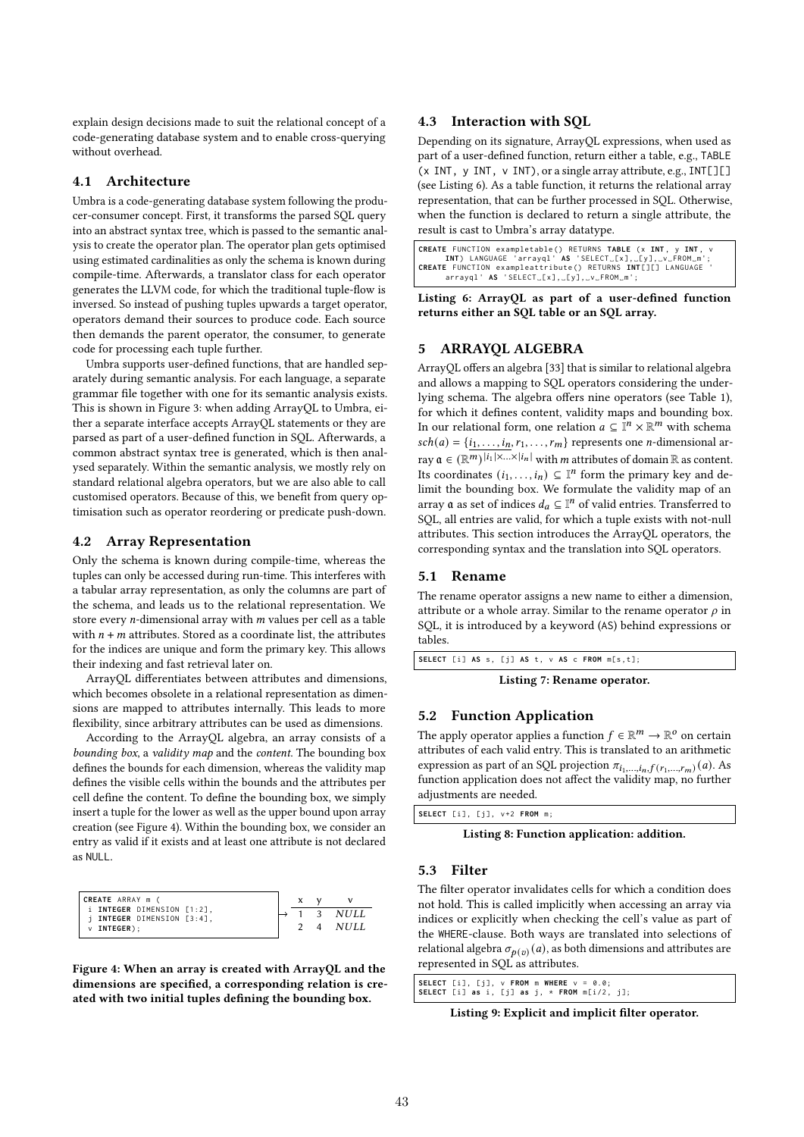explain design decisions made to suit the relational concept of a code-generating database system and to enable cross-querying without overhead.

#### 4.1 Architecture

Umbra is a code-generating database system following the producer-consumer concept. First, it transforms the parsed SQL query into an abstract syntax tree, which is passed to the semantic analysis to create the operator plan. The operator plan gets optimised using estimated cardinalities as only the schema is known during compile-time. Afterwards, a translator class for each operator generates the LLVM code, for which the traditional tuple-flow is inversed. So instead of pushing tuples upwards a target operator, operators demand their sources to produce code. Each source then demands the parent operator, the consumer, to generate code for processing each tuple further.

Umbra supports user-defined functions, that are handled separately during semantic analysis. For each language, a separate grammar file together with one for its semantic analysis exists. This is shown in Figure 3: when adding ArrayQL to Umbra, either a separate interface accepts ArrayQL statements or they are parsed as part of a user-defined function in SQL. Afterwards, a common abstract syntax tree is generated, which is then analysed separately. Within the semantic analysis, we mostly rely on standard relational algebra operators, but we are also able to call customised operators. Because of this, we benefit from query optimisation such as operator reordering or predicate push-down.

# 4.2 Array Representation

Only the schema is known during compile-time, whereas the tuples can only be accessed during run-time. This interferes with a tabular array representation, as only the columns are part of the schema, and leads us to the relational representation. We store every  $n$ -dimensional array with  $m$  values per cell as a table with  $n + m$  attributes. Stored as a coordinate list, the attributes for the indices are unique and form the primary key. This allows their indexing and fast retrieval later on.

ArrayQL differentiates between attributes and dimensions, which becomes obsolete in a relational representation as dimensions are mapped to attributes internally. This leads to more flexibility, since arbitrary attributes can be used as dimensions.

According to the ArrayQL algebra, an array consists of a bounding box, a validity map and the content. The bounding box defines the bounds for each dimension, whereas the validity map defines the visible cells within the bounds and the attributes per cell define the content. To define the bounding box, we simply insert a tuple for the lower as well as the upper bound upon array creation (see Figure 4). Within the bounding box, we consider an entry as valid if it exists and at least one attribute is not declared as NULL.



Figure 4: When an array is created with ArrayQL and the dimensions are specified, a corresponding relation is created with two initial tuples defining the bounding box.

# 4.3 Interaction with SQL

Depending on its signature, ArrayQL expressions, when used as part of a user-defined function, return either a table, e.g., TABLE  $\overline{(x \text{ INT}, y \text{ INT}, v \text{ INT})},$  or a single array attribute, e.g.,  $\overline{\text{INT}}$ [][] (see Listing 6). As a table function, it returns the relational array representation, that can be further processed in SQL. Otherwise, when the function is declared to return a single attribute, the result is cast to Umbra's array datatype.

```
CREATE FUNCTION exampletable () RETURNS TABLE ( x INT , y INT , v
INT) LANGUAGE 'arrayql' AS 'SELECT_[x],_[y],_v_FROM_m';<br>CREATE FUNCTION exampleattribute() RETURNS INT[][] LANGUAGE '<br>arrayql' AS 'SELECT_[x],_[y],_v_FROM_m';
```
Listing 6: ArrayQL as part of a user-defined function returns either an SQL table or an SQL array.

# 5 ARRAYQL ALGEBRA

ArrayQL offers an algebra [33] that is similar to relational algebra and allows a mapping to SQL operators considering the underlying schema. The algebra offers nine operators (see Table 1), for which it defines content, validity maps and bounding box. In our relational form, one relation  $a \subseteq \mathbb{I}^n \times \mathbb{R}^m$  with schema  $sch(a) = \{i_1, \ldots, i_n, r_1, \ldots, r_m\}$  represents one *n*-dimensional array  $\mathfrak{a} \in (\mathbb{R}^m)^{|i_1| \times ... \times |i_n|}$  with *m* attributes of domain  $\mathbb R$  as content. Its coordinates  $(i_1, \ldots, i_n) \subseteq \mathbb{I}^n$  form the primary key and delimit the bounding box. We formulate the validity map of an array ${\mathfrak a}$  as set of indices  $d_a \subseteq {\mathbb I}^n$  of valid entries. Transferred to SQL, all entries are valid, for which a tuple exists with not-null attributes. This section introduces the ArrayQL operators, the corresponding syntax and the translation into SQL operators.

#### 5.1 Rename

The rename operator assigns a new name to either a dimension, attribute or a whole array. Similar to the rename operator  $\rho$  in SQL, it is introduced by a keyword (AS) behind expressions or tables.

```
SELECT [i] AS s, [j] AS t, v AS c FROM m[s, t];
```

```
Listing 7: Rename operator.
```
## 5.2 Function Application

The apply operator applies a function  $f \in \mathbb{R}^m \to \mathbb{R}^o$  on certain attributes of each valid entry. This is translated to an arithmetic expression as part of an SQL projection  $\pi_{i_1,...,i_n,f(r_1,...,r_m)}(a)$ . As function application does not affect the validity map, no further adjustments are needed.

| SELECT [i], [j], v+2 FROM m; |
|------------------------------|
|------------------------------|

Listing 8: Function application: addition.

#### 5.3 Filter

The filter operator invalidates cells for which a condition does not hold. This is called implicitly when accessing an array via indices or explicitly when checking the cell's value as part of the WHERE-clause. Both ways are translated into selections of relational algebra  $\sigma_{p(v)}(a)$ , as both dimensions and attributes are represented in SQL as attributes.

|  | SELECT [i], [j], $v$ FROM m WHERE $v = 0.0$ ; |  |
|--|-----------------------------------------------|--|
|  | SELECT [i] as i, [j] as j, * FROM m[i/2, j];  |  |

Listing 9: Explicit and implicit filter operator.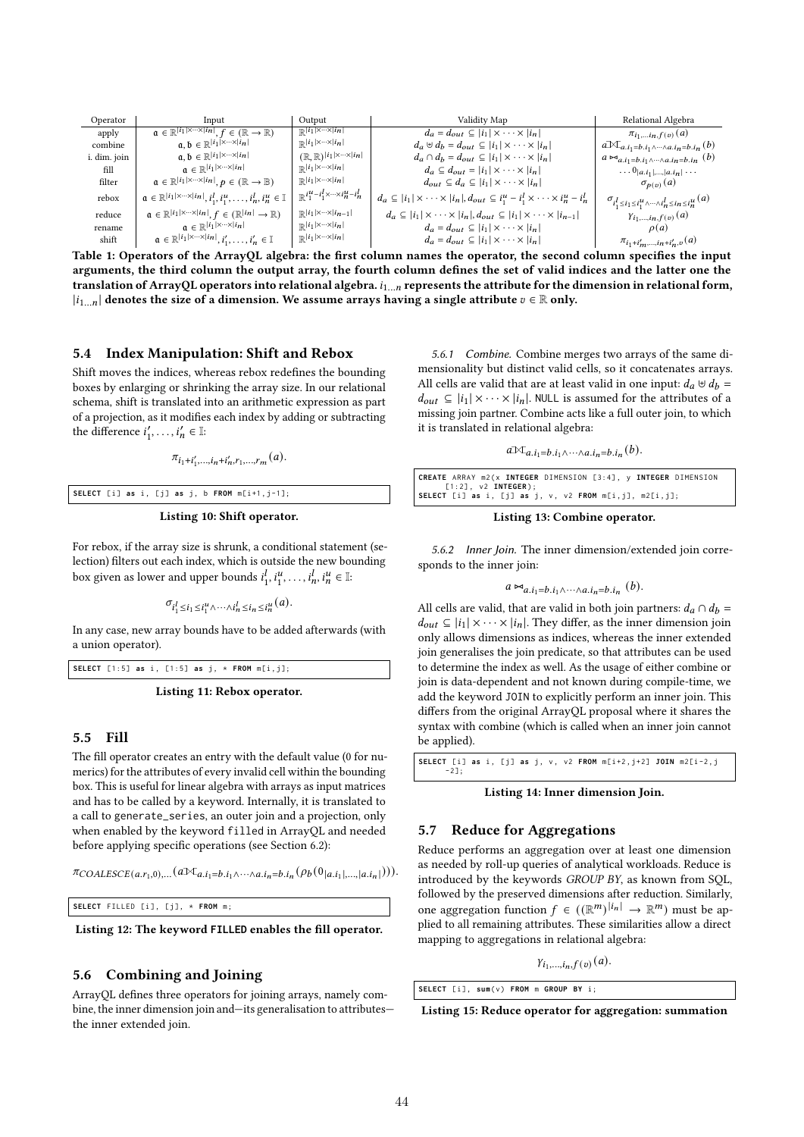| Operator     | Input                                                                                                               | Output                                                                                                      | Validity Map                                                                                                         | Relational Algebra                                                                      |
|--------------|---------------------------------------------------------------------------------------------------------------------|-------------------------------------------------------------------------------------------------------------|----------------------------------------------------------------------------------------------------------------------|-----------------------------------------------------------------------------------------|
| apply        | $\alpha \in \mathbb{R}^{ i_1  \times \cdots \times  i_n }, f \in (\mathbb{R} \to \mathbb{R})$                       | $\mathbb{R}^{ i_1 \times\cdots\times  i_n }$                                                                | $d_a = d_{out} \subseteq  i_1  \times \cdots \times  i_n $                                                           | $\pi_{i_1,i_n,f(v)}(a)$                                                                 |
| combine      | $a, b \in \mathbb{R}^{ i_1  \times \cdots \times  i_n }$                                                            | $\mathbb{R}^{ i_1 \times\cdots\times  i_n }$                                                                | $d_a \oplus d_b = d_{out} \subseteq  i_1  \times \cdots \times  i_n $                                                | $a \mathcal{N}_{a,i_1=b,i_1 \wedge \cdots \wedge a,i_n=b,i_n}(b)$                       |
| i. dim. join | $a, b \in \mathbb{R}^{ i_1  \times \cdots \times  i_n }$                                                            | $(\mathbb{R}, \mathbb{R})^{ i_1  \times \cdots \times  i_n }$                                               | $d_a \cap d_b = d_{out} \subseteq  i_1  \times \cdots \times  i_n $                                                  | $a \bowtie_{a.i_1=b.i_1 \wedge \cdots \wedge a.i_n=b.i_n} (b)$                          |
| fill         | $a \in \mathbb{R}^{ i_1  \times \cdots \times  i_n }$                                                               | $\mathbb{R}^{ i_1 \times\cdots\times i_n }$                                                                 | $d_a \subseteq d_{out} =  i_1  \times \cdots \times  i_n $                                                           | $\ldots 0_{ a.i_1 ,\ldots, a.i_n }\ldots$                                               |
| filter       | $a \in \mathbb{R}^{ i_1  \times \cdots \times  i_n }, p \in (\mathbb{R} \to \mathbb{B})$                            | $\mathbb{R}^{ i_1 \times\cdots\times i_n }$                                                                 | $d_{out} \subseteq d_a \subseteq  i_1  \times \cdots \times  i_n $                                                   | $\sigma_{p(v)}(a)$                                                                      |
| rebox        | $\mathfrak{a} \in \mathbb{R}^{ i_1  \times \cdots \times  i_n }, i_1^l, i_1^u, \ldots, i_n^l, i_n^u \in \mathbb{I}$ | $\mathbb{R}^{i_1^{\mathcal{U}}-i_1^{\mathcal{I}} \times \cdots \times i_n^{\mathcal{U}}-i_n^{\mathcal{I}}}$ | $d_a \subseteq  i_1  \times \cdots \times  i_n , d_{out} \subseteq i_1^u - i_1^l \times \cdots \times i_n^u - i_n^l$ | $\sigma_{i_1^l \leq i_1 \leq i_1^u \wedge \cdots \wedge i_n^l \leq i_n \leq i_n^u} (a)$ |
| reduce       | $a \in \mathbb{R}^{ i_1  \times \cdots \times  i_n }, f \in (\mathbb{R}^{ i_n } \to \mathbb{R})$                    | $\mathbb{R}^{ i_1 \times\cdots\times i_{n-1} }$                                                             | $d_a \subseteq  i_1  \times \cdots \times  i_n , d_{out} \subseteq  i_1  \times \cdots \times  i_{n-1} $             | $\gamma_{i_1,,i_n,f(v)}(a)$                                                             |
| rename       | $a \in \mathbb{R}^{ i_1  \times \cdots \times  i_n }$                                                               | $\mathbb{R}^{ i_1 \times\cdots\times i_n }$                                                                 | $d_a = d_{out} \subseteq  i_1  \times \cdots \times  i_n $                                                           | $\rho(a)$                                                                               |
| shift        | $\mathfrak{a} \in \mathbb{R}^{ i_1  \times \cdots \times  i_n }, i'_1, \ldots, i'_n \in \mathbb{I}$                 | $\mathbb{R}^{ i_1 \times\cdots\times i_n }$                                                                 | $d_a = d_{out} \subseteq  i_1  \times \cdots \times  i_n $                                                           | $\pi_{i_1+i'_m,,i_n+i'_n,v}(a)$                                                         |

Table 1: Operators of the ArrayQL algebra: the first column names the operator, the second column specifies the input arguments, the third column the output array, the fourth column defines the set of valid indices and the latter one the translation of ArrayQL operators into relational algebra.  $i_{1...n}$  represents the attribute for the dimension in relational form,  $|i_{1...n}|$  denotes the size of a dimension. We assume arrays having a single attribute  $v \in \mathbb{R}$  only.

# 5.4 Index Manipulation: Shift and Rebox

Shift moves the indices, whereas rebox redefines the bounding boxes by enlarging or shrinking the array size. In our relational schema, shift is translated into an arithmetic expression as part of a projection, as it modifies each index by adding or subtracting the difference  $i'_1, \ldots, i'_n \in \mathbb{I}$ :

$$
\pi_{i_1+i'_1,\dots,i_n+i'_n,r_1,\dots,r_m}(a).
$$

**SELECT** [i] **as** i, [j] **as** j, b **FROM**  $m[i+1,j-1]$ ;

Listing 10: Shift operator.

For rebox, if the array size is shrunk, a conditional statement (selection) filters out each index, which is outside the new bounding box given as lower and upper bounds  $i_1^l, i_1^u, \ldots, i_n^l, i_n^u \in \mathbb{I}$ :

$$
\sigma_{i_1^l \leq i_1 \leq i_1^u \wedge \cdots \wedge i_n^l \leq i_n \leq i_n^u}(a).
$$

In any case, new array bounds have to be added afterwards (with a union operator).

**SELECT** [1:5] **as** i, [1:5] **as** j, \* **FROM** m[i,j];

Listing 11: Rebox operator.

#### 5.5 Fill

The fill operator creates an entry with the default value (0 for numerics) for the attributes of every invalid cell within the bounding box. This is useful for linear algebra with arrays as input matrices and has to be called by a keyword. Internally, it is translated to a call to generate\_series, an outer join and a projection, only when enabled by the keyword filled in ArrayQL and needed before applying specific operations (see Section 6.2):

 $\pi_{COLLESCE(a.r_1,0),...}(a \mathbb{X}_{a.i_1=b.i_1 \wedge \cdots \wedge a.i_n=b.i_n}(\rho_b(0_{|a.i_1|,...,|a.i_n|}))).$ 

**SELECT** FILLED [i], [j], \* **FROM** m;

Listing 12: The keyword **FILLED** enables the fill operator.

## 5.6 Combining and Joining

ArrayQL defines three operators for joining arrays, namely combine, the inner dimension join and—its generalisation to attributes the inner extended join.

5.6.1 Combine. Combine merges two arrays of the same dimensionality but distinct valid cells, so it concatenates arrays. All cells are valid that are at least valid in one input:  $d_a \oplus d_b =$  $d_{out} \subseteq |i_1| \times \cdots \times |i_n|$ . NULL is assumed for the attributes of a missing join partner. Combine acts like a full outer join, to which it is translated in relational algebra:

$$
a\mathbb{M}_{a.i_1=b.i_1\wedge\cdots\wedge a.i_n=b.i_n}(b).
$$

|                          | CREATE ARRAY m2(x INTEGER DIMENSION [3:4], y INTEGER DIMENSION        |
|--------------------------|-----------------------------------------------------------------------|
| $[1:2]$ , $v2$ INTEGER); |                                                                       |
|                          | SELECT [i] as i, [j] as j, $v$ , $v^2$ FROM $m[i, j]$ , $m^2[i, j]$ ; |

Listing 13: Combine operator.

5.6.2 Inner Join. The inner dimension/extended join corresponds to the inner join:

$$
a \Join_{a.i_1=b.i_1 \land \cdots \land a.i_n=b.i_n} (b).
$$

All cells are valid, that are valid in both join partners:  $d_a \cap d_b =$  $d_{out} \subseteq |i_1| \times \cdots \times |i_n|$ . They differ, as the inner dimension join only allows dimensions as indices, whereas the inner extended join generalises the join predicate, so that attributes can be used to determine the index as well. As the usage of either combine or join is data-dependent and not known during compile-time, we add the keyword JOIN to explicitly perform an inner join. This differs from the original ArrayQL proposal where it shares the syntax with combine (which is called when an inner join cannot be applied).

| SELECT [i] as i, [j] as j, v, v2 FROM $m[i+2, j+2]$ JOIN $m2[i-2, j]$ |  |  |  |  |
|-----------------------------------------------------------------------|--|--|--|--|
| $-21:$                                                                |  |  |  |  |

Listing 14: Inner dimension Join.

# 5.7 Reduce for Aggregations

Reduce performs an aggregation over at least one dimension as needed by roll-up queries of analytical workloads. Reduce is introduced by the keywords GROUP BY, as known from SQL, followed by the preserved dimensions after reduction. Similarly, one aggregation function  $f \in ((\mathbb{R}^m)^{|i_n|} \to \mathbb{R}^m)$  must be applied to all remaining attributes. These similarities allow a direct mapping to aggregations in relational algebra:

 $Y_{i_1,...,i_n,f(v)}(a)$ .

**SELECT** [i], **sum**(v) **FROM** m **GROUP** BY i;

Listing 15: Reduce operator for aggregation: summation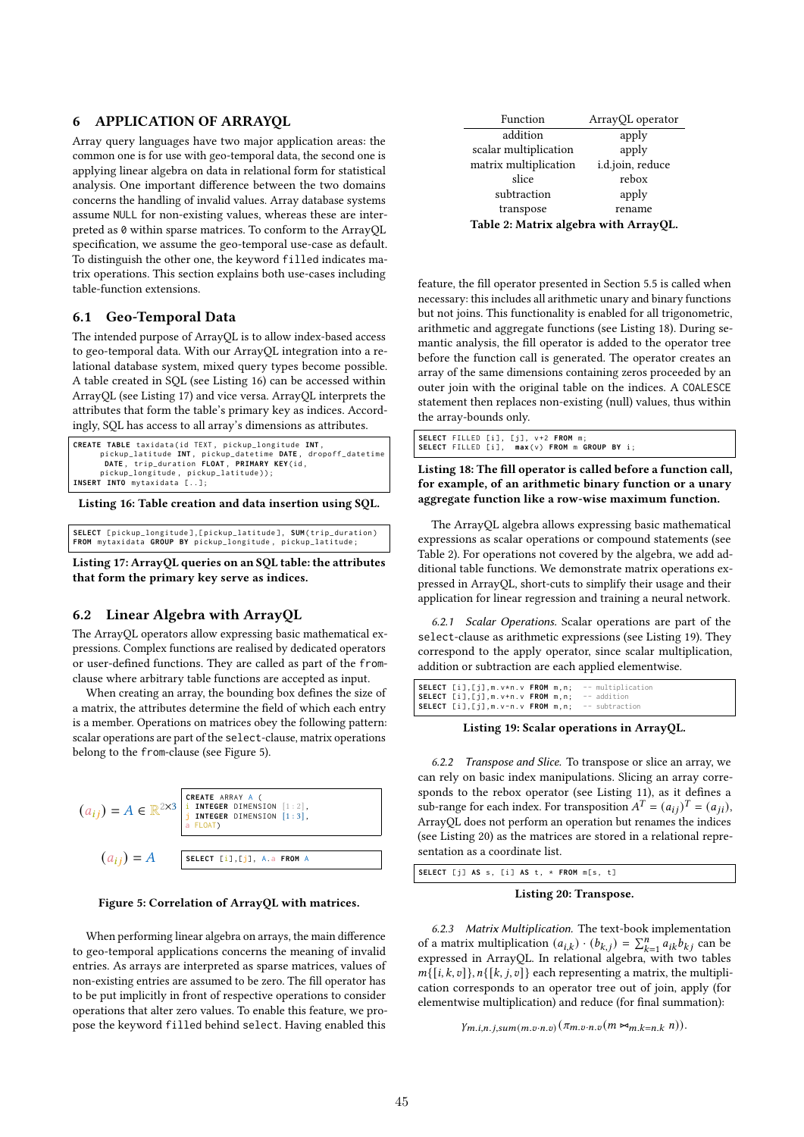# 6 APPLICATION OF ARRAYQL

Array query languages have two major application areas: the common one is for use with geo-temporal data, the second one is applying linear algebra on data in relational form for statistical analysis. One important difference between the two domains concerns the handling of invalid values. Array database systems assume NULL for non-existing values, whereas these are interpreted as 0 within sparse matrices. To conform to the ArrayQL specification, we assume the geo-temporal use-case as default. To distinguish the other one, the keyword filled indicates matrix operations. This section explains both use-cases including table-function extensions.

# 6.1 Geo-Temporal Data

The intended purpose of ArrayQL is to allow index-based access to geo-temporal data. With our ArrayQL integration into a relational database system, mixed query types become possible. A table created in SQL (see Listing 16) can be accessed within ArrayQL (see Listing 17) and vice versa. ArrayQL interprets the attributes that form the table's primary key as indices. Accordingly, SQL has access to all array's dimensions as attributes.

```
CREATE TABLE taxidata (id TEXT, pickup_longitude INT, pickup_atitude INT, pickup_datetime
pickup_latitude INT, pickup_datetime DATE, dropoff_datetime<br>DATE, trip_duration FLOAT, PRIMARY KEY(id,<br>pickup_longitude, pickup_latitude));<br>INSERT INTO mytaxidata [..];
```
Listing 16: Table creation and data insertion using SQL.

**SELECT** [ pickup\_longitude ] ,[ pickup\_latitude ] , **SUM**( trip\_duration ) **FROM** mytaxidata **GROUP BY** pickup\_longitude , pickup\_latitude ;

Listing 17: ArrayQL queries on an SQL table: the attributes that form the primary key serve as indices.

# 6.2 Linear Algebra with ArrayQL

The ArrayQL operators allow expressing basic mathematical expressions. Complex functions are realised by dedicated operators or user-defined functions. They are called as part of the fromclause where arbitrary table functions are accepted as input.

When creating an array, the bounding box defines the size of a matrix, the attributes determine the field of which each entry is a member. Operations on matrices obey the following pattern: scalar operations are part of the select-clause, matrix operations belong to the from-clause (see Figure 5).



# Figure 5: Correlation of ArrayQL with matrices.

When performing linear algebra on arrays, the main difference to geo-temporal applications concerns the meaning of invalid entries. As arrays are interpreted as sparse matrices, values of non-existing entries are assumed to be zero. The fill operator has to be put implicitly in front of respective operations to consider operations that alter zero values. To enable this feature, we propose the keyword filled behind select. Having enabled this

| Function                              | ArrayQL operator |  |  |  |
|---------------------------------------|------------------|--|--|--|
| addition                              | apply            |  |  |  |
| scalar multiplication                 | apply            |  |  |  |
| matrix multiplication                 | i.d.join, reduce |  |  |  |
| slice                                 | rebox            |  |  |  |
| subtraction                           | apply            |  |  |  |
| transpose                             | rename           |  |  |  |
| Table 2: Matrix algebra with ArrayQL. |                  |  |  |  |

feature, the fill operator presented in Section 5.5 is called when necessary: this includes all arithmetic unary and binary functions but not joins. This functionality is enabled for all trigonometric, arithmetic and aggregate functions (see Listing 18). During semantic analysis, the fill operator is added to the operator tree before the function call is generated. The operator creates an array of the same dimensions containing zeros proceeded by an outer join with the original table on the indices. A COALESCE statement then replaces non-existing (null) values, thus within the array-bounds only.

|  | SELECT FILLED [i], [j], v+2 FROM m;          |
|--|----------------------------------------------|
|  | SELECT FILLED [i], max(v) FROM m GROUP BY i; |

Listing 18: The fill operator is called before a function call, for example, of an arithmetic binary function or a unary aggregate function like a row-wise maximum function.

The ArrayQL algebra allows expressing basic mathematical expressions as scalar operations or compound statements (see Table 2). For operations not covered by the algebra, we add additional table functions. We demonstrate matrix operations expressed in ArrayQL, short-cuts to simplify their usage and their application for linear regression and training a neural network.

6.2.1 Scalar Operations. Scalar operations are part of the select-clause as arithmetic expressions (see Listing 19). They correspond to the apply operator, since scalar multiplication, addition or subtraction are each applied elementwise.

| SELECT [i], [j], m. v*n. v FROM m, n; -- multiplication |  |  |
|---------------------------------------------------------|--|--|
| SELECT [i], [j], m. v+n. v FROM m, n; -- addition       |  |  |
| SELECT [i],[j],m.v-n.v FROM m,n; -- subtraction         |  |  |

Listing 19: Scalar operations in ArrayQL.

6.2.2 Transpose and Slice. To transpose or slice an array, we can rely on basic index manipulations. Slicing an array corresponds to the rebox operator (see Listing 11), as it defines a sub-range for each index. For transposition  $A<sup>T</sup> = (a_{ij})<sup>T</sup> = (a_{ji})$ , ArrayQL does not perform an operation but renames the indices (see Listing 20) as the matrices are stored in a relational representation as a coordinate list.

**SELECT** [j] AS s, [i] AS t, \* **FROM** m[s, t]

#### Listing 20: Transpose.

6.2.3 Matrix Multiplication. The text-book implementation of a matrix multiplication  $(a_{i,k}) \cdot (b_{k,j}) = \sum_{k=1}^{n} a_{ik} b_{kj}$  can be expressed in ArrayQL. In relational algebra, with two tables  ${m\{[i, k, v]\}, n\{[k, j, v]\}}$  each representing a matrix, the multiplication corresponds to an operator tree out of join, apply (for elementwise multiplication) and reduce (for final summation):

```
\gamma_{m.i,n.j,sum(m.v.n.v)}(\pi_{m.v.n.v}(m \Join_{m.k=n.k} n)).
```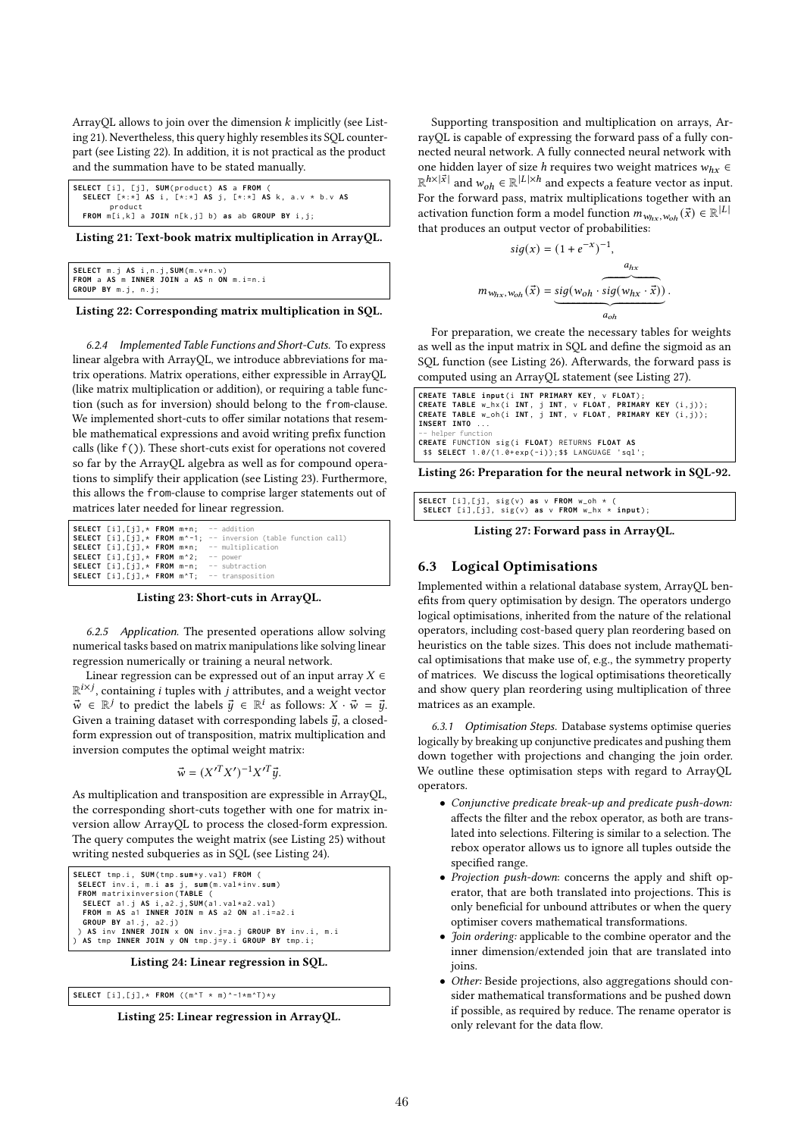ArrayQL allows to join over the dimension  $k$  implicitly (see Listing 21). Nevertheless, this query highly resembles its SQL counterpart (see Listing 22). In addition, it is not practical as the product and the summation have to be stated manually.

| SELECT [i], [i], SUM(product) AS a FROM (                        |  |
|------------------------------------------------------------------|--|
| SELECT $[*:*\]$ AS i, $[*:*\]$ AS i, $[*:*\]$ AS k, a.v * b.v AS |  |
| product                                                          |  |
| <b>FROM</b> $m[i, k]$ a JOIN $n[k, j]$ b) as ab GROUP BY i, j;   |  |

Listing 21: Text-book matrix multiplication in ArrayQL.

| SELECT $m. j AS i, n. j, SUM(m.v*n.v)$ |  |  |                                                 |
|----------------------------------------|--|--|-------------------------------------------------|
|                                        |  |  | <b>FROM a AS m INNER JOIN a AS n ON m.i=n.i</b> |
| GROUP BY $m.j, n.j;$                   |  |  |                                                 |

Listing 22: Corresponding matrix multiplication in SQL.

6.2.4 Implemented Table Functions and Short-Cuts. To express linear algebra with ArrayQL, we introduce abbreviations for matrix operations. Matrix operations, either expressible in ArrayQL (like matrix multiplication or addition), or requiring a table function (such as for inversion) should belong to the from-clause. We implemented short-cuts to offer similar notations that resemble mathematical expressions and avoid writing prefix function calls (like f()). These short-cuts exist for operations not covered so far by the ArrayQL algebra as well as for compound operations to simplify their application (see Listing 23). Furthermore, this allows the from-clause to comprise larger statements out of matrices later needed for linear regression.

| <b>SELECT</b> $[i]$ , $[i]$ , $*$ <b>FROM</b> $m+n$ ; $-$ addition   |  |                                                                                                  |
|----------------------------------------------------------------------|--|--------------------------------------------------------------------------------------------------|
|                                                                      |  | <b>SELECT</b> [i], $[i]$ , * <b>FROM</b> $m^2-1$ ; -- inversion (table function call)            |
|                                                                      |  | <b>SELECT</b> $[i]$ , $[i]$ , $*$ <b>FROM</b> $m*n$ ; -- multiplication                          |
| SELECT $[i]$ , $[i]$ , $*$ FROM $m^2$ ; -- power                     |  |                                                                                                  |
| <b>SELECT</b> $[i]$ , $[i]$ , $*$ <b>FROM</b> $m-n$ ; -- subtraction |  |                                                                                                  |
|                                                                      |  | <b>SELECT</b> $[i]$ , $[i]$ , $*$ <b>FROM</b> $m$ <sup><math>*</math></sup> T; $-$ transposition |

Listing 23: Short-cuts in ArrayQL.

6.2.5 Application. The presented operations allow solving numerical tasks based on matrix manipulations like solving linear regression numerically or training a neural network.

Linear regression can be expressed out of an input array  $X \in$  $\mathbb{R}^{i \times j}$ , containing *i* tuples with *j* attributes, and a weight vector  $\vec{w} \in \mathbb{R}^j$  to predict the labels  $\vec{y} \in \mathbb{R}^i$  as follows:  $X \cdot \vec{w} = \vec{y}$ . Given a training dataset with corresponding labels  $\vec{u}$ , a closedform expression out of transposition, matrix multiplication and inversion computes the optimal weight matrix:

$$
\vec{w} = (X'^T X')^{-1} X'^T \vec{y}.
$$

As multiplication and transposition are expressible in ArrayQL, the corresponding short-cuts together with one for matrix inversion allow ArrayQL to process the closed-form expression. The query computes the weight matrix (see Listing 25) without writing nested subqueries as in SQL (see Listing 24).

```
SELECT tmp .i , SUM( tmp . sum* y . val ) FROM (
SELECT inv.i. m.i as i. sum(m.val*inv.sum)
 FROM matrixinversion ( TABLE (
   SELECT a1 . j AS i , a2 .j ,SUM( a1 . val * a2 . val )
FROM m AS a1 INNER JOIN m AS a2 ON a1 . i = a2 . i
  GROUP BY a1.j, a2.j)
) AS inv INNER JOIN x ON inv . j = a . j GROUP BY inv .i , m . i
) AS tmp INNER JOIN y ON tmp . j = y . i GROUP BY tmp . i ;
```
Listing 24: Linear regression in SQL.

**SELECT** [i],[j],\* **FROM** ((m^T \* m)^-1\*m^T)\*y

Listing 25: Linear regression in ArrayQL.

Supporting transposition and multiplication on arrays, ArrayQL is capable of expressing the forward pass of a fully connected neural network. A fully connected neural network with one hidden layer of size *h* requires two weight matrices  $w_{hx}$  ∈  $\mathbb{R}^{h \times |\vec{x}|}$  and  $w_{oh} \in \mathbb{R}^{|L| \times h}$  and expects a feature vector as input. For the forward pass, matrix multiplications together with an activation function form a model function  $m_{w_{hx}, w_{oh}}(\vec{x}) \in \mathbb{R}^{|L|}$ that produces an output vector of probabilities:

$$
sig(x) = (1 + e^{-x})^{-1},
$$
  
\n
$$
m_{w_{hx}, w_{oh}}(\vec{x}) = \underbrace{sig(w_{oh} \cdot sig(w_{hx} \cdot \vec{x}))}_{a_{oh}}.
$$

For preparation, we create the necessary tables for weights as well as the input matrix in SQL and define the sigmoid as an SQL function (see Listing 26). Afterwards, the forward pass is computed using an ArrayQL statement (see Listing 27).

| CREATE TABLE input(i INT PRIMARY KEY, v FLOAT);              |  |  |  |
|--------------------------------------------------------------|--|--|--|
| CREATE TABLE w_hx(i INT, j INT, v FLOAT, PRIMARY KEY (i,j)); |  |  |  |
| CREATE TABLE w_oh(i INT, j INT, v FLOAT, PRIMARY KEY (i,j)); |  |  |  |
| INSERT INTO                                                  |  |  |  |
| $-$ helper function                                          |  |  |  |
| CREATE FUNCTION sig(i FLOAT) RETURNS FLOAT AS                |  |  |  |
| \$\$ SELECT 1.0/(1.0+exp(-i));\$\$ LANGUAGE 'sql';           |  |  |  |

Listing 26: Preparation for the neural network in SQL-92.

| SELECT [i],[j], sig(v) as $v$ FROM $w_oh$ $*$ ( | SELECT [i], [j], sig(v) as v FROM $w_h x * input$ ; |  |
|-------------------------------------------------|-----------------------------------------------------|--|
|                                                 |                                                     |  |

Listing 27: Forward pass in ArrayQL.

# 6.3 Logical Optimisations

Implemented within a relational database system, ArrayQL benefits from query optimisation by design. The operators undergo logical optimisations, inherited from the nature of the relational operators, including cost-based query plan reordering based on heuristics on the table sizes. This does not include mathematical optimisations that make use of, e.g., the symmetry property of matrices. We discuss the logical optimisations theoretically and show query plan reordering using multiplication of three matrices as an example.

6.3.1 Optimisation Steps. Database systems optimise queries logically by breaking up conjunctive predicates and pushing them down together with projections and changing the join order. We outline these optimisation steps with regard to ArrayQL operators.

- Conjunctive predicate break-up and predicate push-down: affects the filter and the rebox operator, as both are translated into selections. Filtering is similar to a selection. The rebox operator allows us to ignore all tuples outside the specified range.
- Projection push-down: concerns the apply and shift operator, that are both translated into projections. This is only beneficial for unbound attributes or when the query optimiser covers mathematical transformations.
- Join ordering: applicable to the combine operator and the inner dimension/extended join that are translated into joins.
- Other: Beside projections, also aggregations should consider mathematical transformations and be pushed down if possible, as required by reduce. The rename operator is only relevant for the data flow.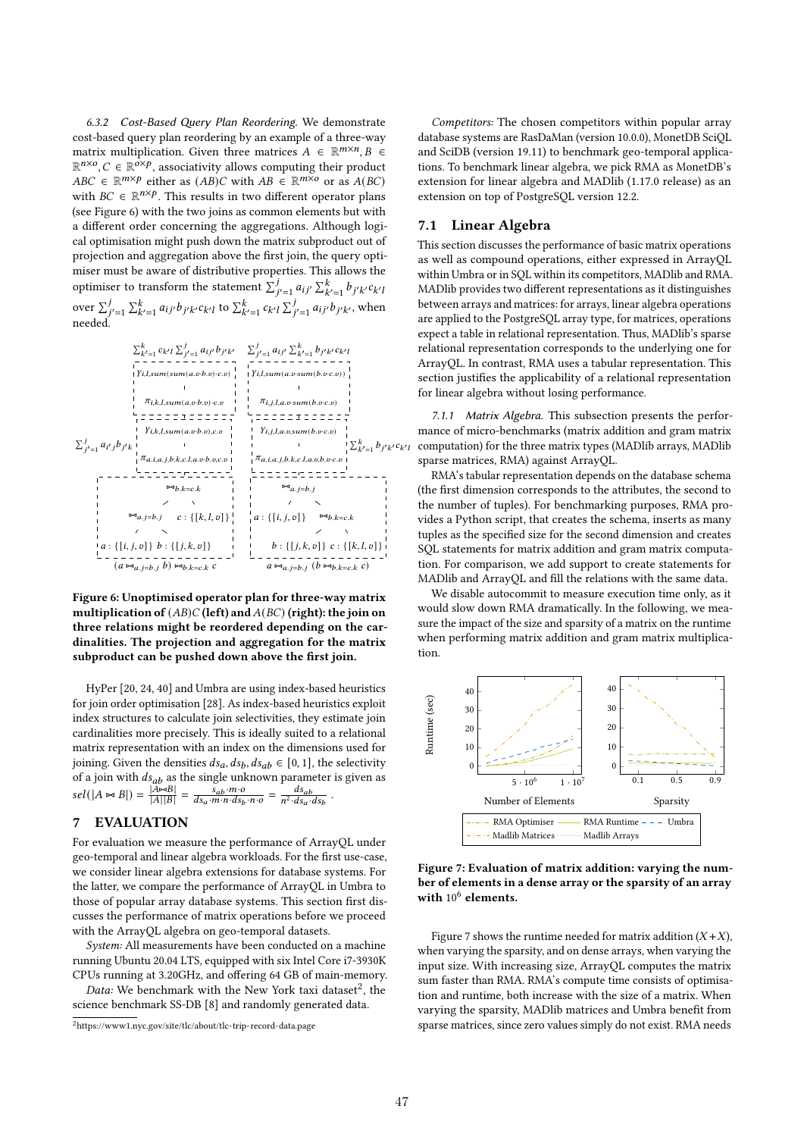6.3.2 Cost-Based Query Plan Reordering. We demonstrate cost-based query plan reordering by an example of a three-way matrix multiplication. Given three matrices  $A \in \mathbb{R}^{m \times n}, B \in$  $\mathbb{R}^{n \times o}$ ,  $C \in \mathbb{R}^{o \times p}$ , associativity allows computing their product  $ABC \in \mathbb{R}^{m \times p}$  either as  $(AB)C$  with  $AB \in \mathbb{R}^{m \times o}$  or as  $A(BC)$ with  $BC \in \mathbb{R}^{n \times p}$ . This results in two different operator plans (see Figure 6) with the two joins as common elements but with a different order concerning the aggregations. Although logical optimisation might push down the matrix subproduct out of projection and aggregation above the first join, the query optimiser must be aware of distributive properties. This allows the optimiser to transform the statement  $\sum_{j'=1}^{j} a_{ij'} \sum_{k'=1}^{k} b_{j'k'} c_{k'l}$ over  $\sum_{j'=1}^{j} \sum_{k'=1}^{k} a_{ij'} b_{j'k'} c_{k'l}$  to  $\sum_{k'=1}^{k} c_{k'l} \sum_{j'=1}^{j} a_{ij'} b_{j'k'}$ , when needed.



Figure 6: Unoptimised operator plan for three-way matrix multiplication of  $(AB)C$  (left) and  $A(BC)$  (right): the join on three relations might be reordered depending on the cardinalities. The projection and aggregation for the matrix subproduct can be pushed down above the first join.

HyPer [20, 24, 40] and Umbra are using index-based heuristics for join order optimisation [28]. As index-based heuristics exploit index structures to calculate join selectivities, they estimate join cardinalities more precisely. This is ideally suited to a relational matrix representation with an index on the dimensions used for joining. Given the densities  $ds_a, ds_b, ds_{ab} \in [0, 1]$ , the selectivity of a join with  $ds_{ab}$  as the single unknown parameter is given as  $sel(|A \Join B|) = \frac{|A \Join B|}{|A||B|}$  $\frac{|A\triangleright B|}{|A||B|} = \frac{s_{ab} \cdot m \cdot o}{ds_a \cdot m \cdot n \cdot ds_b \cdot n \cdot o} = \frac{ds_{ab}}{n^2 \cdot ds_a \cdot ds_b}$ .

# 7 EVALUATION

For evaluation we measure the performance of ArrayQL under geo-temporal and linear algebra workloads. For the first use-case, we consider linear algebra extensions for database systems. For the latter, we compare the performance of ArrayQL in Umbra to those of popular array database systems. This section first discusses the performance of matrix operations before we proceed with the ArrayQL algebra on geo-temporal datasets.

System: All measurements have been conducted on a machine running Ubuntu 20.04 LTS, equipped with six Intel Core i7-3930K CPUs running at 3.20GHz, and offering 64 GB of main-memory.

Data: We benchmark with the New York taxi dataset<sup>2</sup>, the science benchmark SS-DB [8] and randomly generated data.

Competitors: The chosen competitors within popular array database systems are RasDaMan (version 10.0.0), MonetDB SciQL and SciDB (version 19.11) to benchmark geo-temporal applications. To benchmark linear algebra, we pick RMA as MonetDB's extension for linear algebra and MADlib (1.17.0 release) as an extension on top of PostgreSQL version 12.2.

# 7.1 Linear Algebra

This section discusses the performance of basic matrix operations as well as compound operations, either expressed in ArrayQL within Umbra or in SQL within its competitors, MADlib and RMA. MADlib provides two different representations as it distinguishes between arrays and matrices: for arrays, linear algebra operations are applied to the PostgreSQL array type, for matrices, operations expect a table in relational representation. Thus, MADlib's sparse relational representation corresponds to the underlying one for ArrayQL. In contrast, RMA uses a tabular representation. This section justifies the applicability of a relational representation for linear algebra without losing performance.

7.1.1 Matrix Algebra. This subsection presents the performance of micro-benchmarks (matrix addition and gram matrix computation) for the three matrix types (MADlib arrays, MADlib sparse matrices, RMA) against ArrayQL.

RMA's tabular representation depends on the database schema (the first dimension corresponds to the attributes, the second to the number of tuples). For benchmarking purposes, RMA provides a Python script, that creates the schema, inserts as many tuples as the specified size for the second dimension and creates SQL statements for matrix addition and gram matrix computation. For comparison, we add support to create statements for MADlib and ArrayQL and fill the relations with the same data.

We disable autocommit to measure execution time only, as it would slow down RMA dramatically. In the following, we measure the impact of the size and sparsity of a matrix on the runtime when performing matrix addition and gram matrix multiplication.



Figure 7: Evaluation of matrix addition: varying the number of elements in a dense array or the sparsity of an array with  $10^6$  elements.

Figure 7 shows the runtime needed for matrix addition  $(X+X)$ , when varying the sparsity, and on dense arrays, when varying the input size. With increasing size, ArrayQL computes the matrix sum faster than RMA. RMA's compute time consists of optimisation and runtime, both increase with the size of a matrix. When varying the sparsity, MADlib matrices and Umbra benefit from sparse matrices, since zero values simply do not exist. RMA needs

 $^2$ https://www1.nyc.gov/site/tlc/about/tlc-trip-record-data.page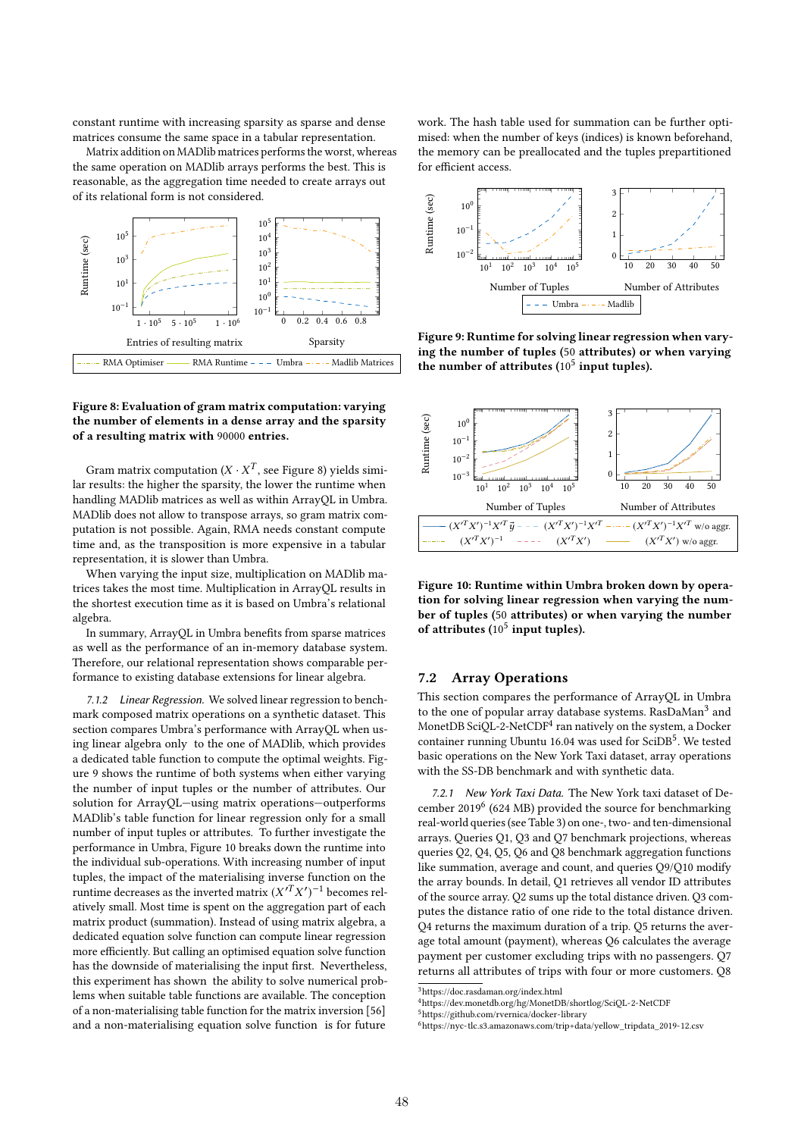constant runtime with increasing sparsity as sparse and dense matrices consume the same space in a tabular representation.

Matrix addition on MADlib matrices performs the worst, whereas the same operation on MADlib arrays performs the best. This is reasonable, as the aggregation time needed to create arrays out of its relational form is not considered.



# Figure 8: Evaluation of gram matrix computation: varying the number of elements in a dense array and the sparsity of a resulting matrix with 90000 entries.

Gram matrix computation ( $X \cdot X^T$ , see Figure 8) yields similar results: the higher the sparsity, the lower the runtime when handling MADlib matrices as well as within ArrayQL in Umbra. MADlib does not allow to transpose arrays, so gram matrix computation is not possible. Again, RMA needs constant compute time and, as the transposition is more expensive in a tabular representation, it is slower than Umbra.

When varying the input size, multiplication on MADlib matrices takes the most time. Multiplication in ArrayQL results in the shortest execution time as it is based on Umbra's relational algebra.

In summary, ArrayQL in Umbra benefits from sparse matrices as well as the performance of an in-memory database system. Therefore, our relational representation shows comparable performance to existing database extensions for linear algebra.

7.1.2 Linear Regression. We solved linear regression to benchmark composed matrix operations on a synthetic dataset. This section compares Umbra's performance with ArrayQL when using linear algebra only to the one of MADlib, which provides a dedicated table function to compute the optimal weights. Figure 9 shows the runtime of both systems when either varying the number of input tuples or the number of attributes. Our solution for ArrayQL—using matrix operations—outperforms MADlib's table function for linear regression only for a small number of input tuples or attributes. To further investigate the performance in Umbra, Figure 10 breaks down the runtime into the individual sub-operations. With increasing number of input tuples, the impact of the materialising inverse function on the runtime decreases as the inverted matrix  $(X^{T}X')^{-1}$  becomes relatively small. Most time is spent on the aggregation part of each matrix product (summation). Instead of using matrix algebra, a dedicated equation solve function can compute linear regression more efficiently. But calling an optimised equation solve function has the downside of materialising the input first. Nevertheless, this experiment has shown the ability to solve numerical problems when suitable table functions are available. The conception of a non-materialising table function for the matrix inversion [56] and a non-materialising equation solve function is for future

work. The hash table used for summation can be further optimised: when the number of keys (indices) is known beforehand, the memory can be preallocated and the tuples prepartitioned for efficient access.



Figure 9: Runtime for solving linear regression when varying the number of tuples (50 attributes) or when varying the number of attributes  $(10^5$  input tuples).



Figure 10: Runtime within Umbra broken down by operation for solving linear regression when varying the number of tuples (50 attributes) or when varying the number of attributes  $(10^5$  input tuples).

#### 7.2 Array Operations

This section compares the performance of ArrayQL in Umbra to the one of popular array database systems. RasDaMan<sup>3</sup> and MonetDB SciQL-2-NetCDF<sup>4</sup> ran natively on the system, a Docker container running Ubuntu 16.04 was used for SciDB<sup>5</sup>. We tested basic operations on the New York Taxi dataset, array operations with the SS-DB benchmark and with synthetic data.

7.2.1 New York Taxi Data. The New York taxi dataset of December 2019<sup>6</sup> (624 MB) provided the source for benchmarking real-world queries (see Table 3) on one-, two- and ten-dimensional arrays. Queries Q1, Q3 and Q7 benchmark projections, whereas queries Q2, Q4, Q5, Q6 and Q8 benchmark aggregation functions like summation, average and count, and queries Q9/Q10 modify the array bounds. In detail, Q1 retrieves all vendor ID attributes of the source array. Q2 sums up the total distance driven. Q3 computes the distance ratio of one ride to the total distance driven. Q4 returns the maximum duration of a trip. Q5 returns the average total amount (payment), whereas Q6 calculates the average payment per customer excluding trips with no passengers. Q7 returns all attributes of trips with four or more customers. Q8

<sup>5</sup>https://github.com/rvernica/docker-library

 $^3$ https://doc.rasdaman.org/index.html

<sup>4</sup>https://dev.monetdb.org/hg/MonetDB/shortlog/SciQL-2-NetCDF

<sup>6</sup>https://nyc-tlc.s3.amazonaws.com/trip+data/yellow\_tripdata\_2019-12.csv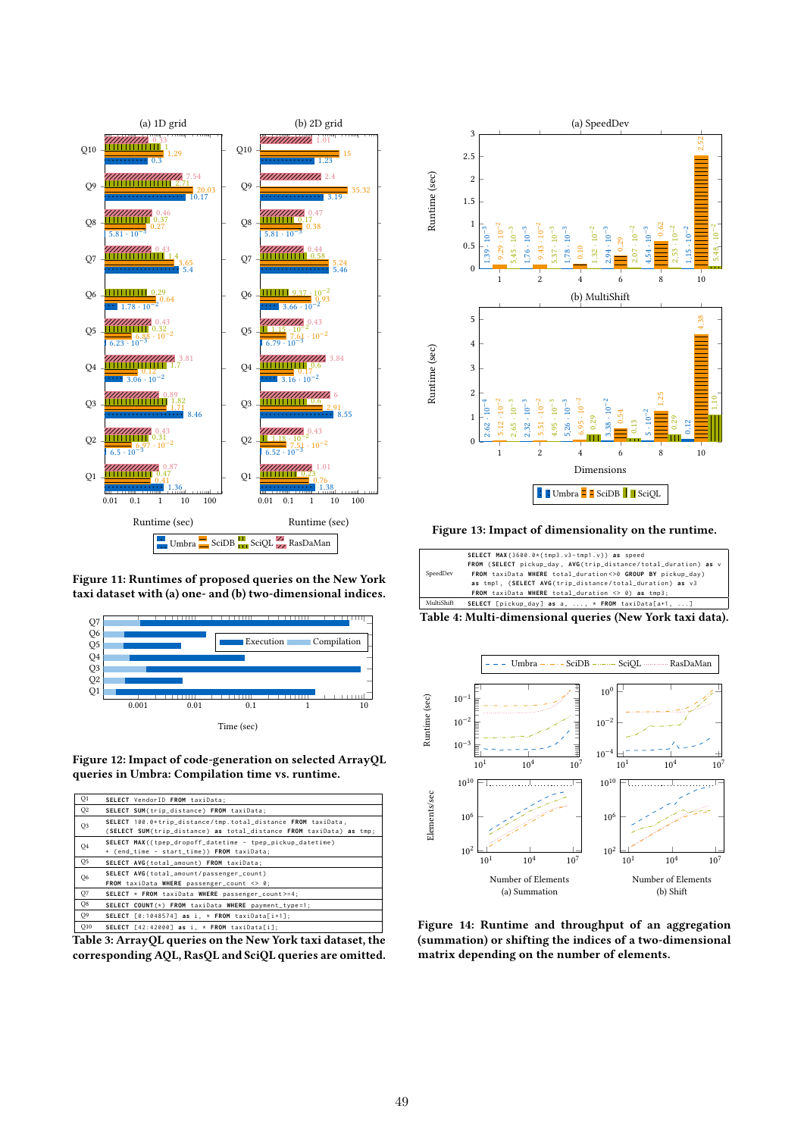

Figure 11: Runtimes of proposed queries on the New York taxi dataset with (a) one- and (b) two-dimensional indices.



Figure 12: Impact of code-generation on selected ArrayQL queries in Umbra: Compilation time vs. runtime.

| Q1             | SELECT VendorID FROM taxiData;                                                                                                      |
|----------------|-------------------------------------------------------------------------------------------------------------------------------------|
| Q2             | SELECT SUM(trip_distance) FROM taxiData;                                                                                            |
| Q3             | SELECT 100.0*trip_distance/tmp.total_distance FROM taxiData,<br>(SELECT SUM(trip_distance) as total_distance FROM taxiData) as tmp; |
| Q4             | SELECT MAX ((tpep_dropoff_datetime - tpep_pickup_datetime)<br>+ (end_time - start_time)) FROM taxiData;                             |
| Q <sub>5</sub> | SELECT AVG(total_amount) FROM taxiData;                                                                                             |
| Q6             | SELECT AVG(total_amount/passenger_count)<br>FROM taxiData WHERE passenger_count $\langle \rangle$ 0;                                |
| Q7             | SELECT * FROM taxiData WHERE passenger_count>=4;                                                                                    |
| Q8             | SELECT COUNT $(*)$ FROM taxiData WHERE payment_type=1;                                                                              |
| O <sub>9</sub> | SELECT $[0:1048574]$ as i, * FROM taxiData $[i+1]$ ;                                                                                |
| O10            | SELECT $[42:42000]$ as i, * FROM taxiData[i];                                                                                       |

Table 3: ArrayQL queries on the New York taxi dataset, the corresponding AQL, RasQL and SciQL queries are omitted.



Figure 13: Impact of dimensionality on the runtime.



Table 4: Multi-dimensional queries (New York taxi data).



Figure 14: Runtime and throughput of an aggregation (summation) or shifting the indices of a two-dimensional matrix depending on the number of elements.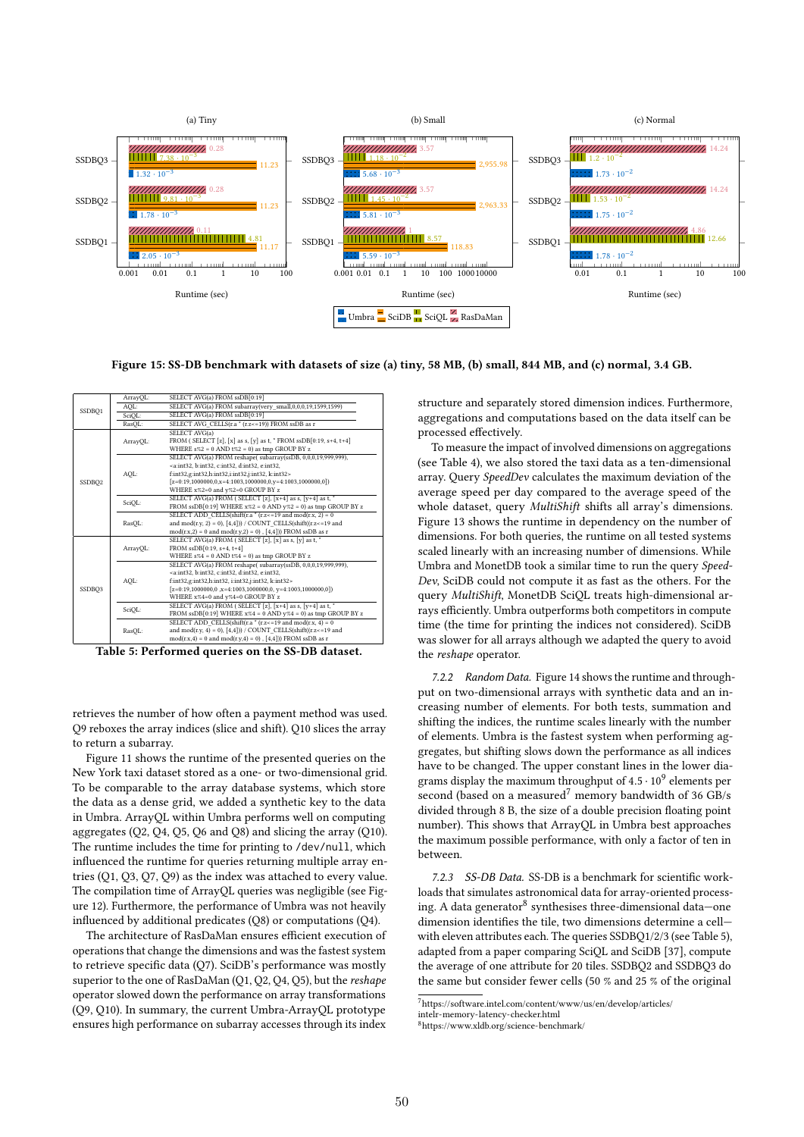

Figure 15: SS-DB benchmark with datasets of size (a) tiny, 58 MB, (b) small, 844 MB, and (c) normal, 3.4 GB.

| SSDBO <sub>1</sub> | ArrayQL: | SELECT AVG(a) FROM ssDB[0:19]                                                |  |
|--------------------|----------|------------------------------------------------------------------------------|--|
|                    | AOL:     | SELECT AVG(a) FROM subarray(very small,0,0,0,19,1599,1599)                   |  |
|                    | SciOL:   | SELECT AVG(a) FROM ssDB[0:19]                                                |  |
|                    | RasQL:   | SELECT AVG CELLS(r.a * (r.z <= 19)) FROM ssDB as r                           |  |
| SSDBQ <sub>2</sub> | ArrayQL: | SELECT AVG(a)                                                                |  |
|                    |          | FROM (SELECT [z], [x] as s, [y] as t, * FROM $ssDB[0:19, s+4, t+4]$          |  |
|                    |          | WHERE $s\%2 = 0$ AND $t\%2 = 0$ ) as tmp GROUP BY z                          |  |
|                    |          | SELECT AVG(a) FROM reshape( subarray(ssDB, 0,0,0,19,999,999),                |  |
|                    | AQL:     | <a:int32. b:int32.="" c:int32.="" d:int32.="" e:int32.<="" td=""></a:int32.> |  |
|                    |          | f:int32,g:int32,h:int32,i:int32,j:int32, k:int32>                            |  |
|                    |          | $[z=0:19, 1000000, 0, x=4:1003, 1000000, 0, y=4:1003, 1000000, 0])$          |  |
|                    |          | WHERE x%2=0 and y%2=0 GROUP BY z                                             |  |
|                    | SciQL:   | SELECT AVG(a) FROM (SELECT [z], [x+4] as s, [y+4] as t, *                    |  |
|                    |          | FROM $sDB[0:19]$ WHERE $x\%2 = 0$ AND $y\%2 = 0$ ) as tmp GROUP BY z         |  |
|                    | RasQL:   | SELECT ADD CELLS(shift(r.a $*(r.z \le 19$ and mod(r.x, 2) = 0                |  |
|                    |          | and mod(r.y, 2) = 0), $[4,4]$ )) / COUNT CELLS(shift((r.z <= 19 and          |  |
|                    |          | $mod(r.x,2) = 0$ and $mod(r.y,2) = 0)$ , [4,4])) FROM ssDB as r              |  |
|                    | ArrayOL: | SELECT AVG(a) FROM (SELECT [z], [x] as s, [y] as t, *                        |  |
|                    |          | FROM ssDB[0:19, s+4, t+4]                                                    |  |
|                    |          | WHERE $s\%4 = 0$ AND $t\%4 = 0$ ) as tmp GROUP BY z                          |  |
|                    |          | SELECT AVG(a) FROM reshape(subarray(ssDB, 0,0,0,19,999,999),                 |  |
|                    | AOL:     | <a:int32, b:int32,="" c:int32,="" d:int32,="" e:int32,<="" td=""></a:int32,> |  |
|                    |          | f:int32,g:int32,h:int32, i:int32,j:int32, k:int32>                           |  |
| SSDBO <sub>3</sub> |          | $[z=0:19, 1000000, 0, x=4:1003, 1000000, 0, y=4:1003, 1000000, 0])$          |  |
|                    |          | WHERE x%4=0 and y%4=0 GROUP BY z                                             |  |
|                    | SciQL:   | SELECT AVG(a) FROM (SELECT [z], $[x+4]$ as s, $[y+4]$ as t, $*$              |  |
|                    |          | FROM $ssDB[0:19]$ WHERE $x\%4 = 0$ AND $y\%4 = 0$ ) as tmp GROUP BY z        |  |
|                    |          | SELECT ADD CELLS(shift(r.a $*(r.z \le 19$ and mod(r.x, 4) = 0                |  |
|                    | RasOL:   | and mod(r.y, 4) = 0), $[4,4]$ )) / COUNT CELLS(shift((r.z <= 19 and          |  |
|                    |          | $mod(r.x, 4) = 0$ and $mod(r.y, 4) = 0)$ , [4,4])) FROM ssDB as r            |  |

Table 5: Performed queries on the SS-DB dataset.

retrieves the number of how often a payment method was used. Q9 reboxes the array indices (slice and shift). Q10 slices the array to return a subarray.

Figure 11 shows the runtime of the presented queries on the New York taxi dataset stored as a one- or two-dimensional grid. To be comparable to the array database systems, which store the data as a dense grid, we added a synthetic key to the data in Umbra. ArrayQL within Umbra performs well on computing aggregates (Q2, Q4, Q5, Q6 and Q8) and slicing the array (Q10). The runtime includes the time for printing to /dev/null, which influenced the runtime for queries returning multiple array entries (Q1, Q3, Q7, Q9) as the index was attached to every value. The compilation time of ArrayQL queries was negligible (see Figure 12). Furthermore, the performance of Umbra was not heavily influenced by additional predicates (Q8) or computations (Q4).

The architecture of RasDaMan ensures efficient execution of operations that change the dimensions and was the fastest system to retrieve specific data (Q7). SciDB's performance was mostly superior to the one of RasDaMan (Q1, Q2, Q4, Q5), but the reshape operator slowed down the performance on array transformations (Q9, Q10). In summary, the current Umbra-ArrayQL prototype ensures high performance on subarray accesses through its index

structure and separately stored dimension indices. Furthermore, aggregations and computations based on the data itself can be processed effectively.

To measure the impact of involved dimensions on aggregations (see Table 4), we also stored the taxi data as a ten-dimensional array. Query SpeedDev calculates the maximum deviation of the average speed per day compared to the average speed of the whole dataset, query MultiShift shifts all array's dimensions. Figure 13 shows the runtime in dependency on the number of dimensions. For both queries, the runtime on all tested systems scaled linearly with an increasing number of dimensions. While Umbra and MonetDB took a similar time to run the query Speed-Dev, SciDB could not compute it as fast as the others. For the query MultiShift, MonetDB SciQL treats high-dimensional arrays efficiently. Umbra outperforms both competitors in compute time (the time for printing the indices not considered). SciDB was slower for all arrays although we adapted the query to avoid the reshape operator.

7.2.2 Random Data. Figure 14 shows the runtime and throughput on two-dimensional arrays with synthetic data and an increasing number of elements. For both tests, summation and shifting the indices, the runtime scales linearly with the number of elements. Umbra is the fastest system when performing aggregates, but shifting slows down the performance as all indices have to be changed. The upper constant lines in the lower diagrams display the maximum throughput of  $4.5 \cdot 10^9$  elements per second (based on a measured<sup>7</sup> memory bandwidth of 36 GB/s divided through 8 B, the size of a double precision floating point number). This shows that ArrayQL in Umbra best approaches the maximum possible performance, with only a factor of ten in between.

7.2.3 SS-DB Data. SS-DB is a benchmark for scientific workloads that simulates astronomical data for array-oriented processing. A data generator<sup>8</sup> synthesises three-dimensional data-one dimension identifies the tile, two dimensions determine a cell with eleven attributes each. The queries SSDBQ1/2/3 (see Table 5), adapted from a paper comparing SciQL and SciDB [37], compute the average of one attribute for 20 tiles. SSDBQ2 and SSDBQ3 do the same but consider fewer cells (50 % and 25 % of the original

 $\frac{7}{7}$ https://software.intel.com/content/www/us/en/develop/articles/

intelr-memory-latency-checker.html

<sup>8</sup>https://www.xldb.org/science-benchmark/